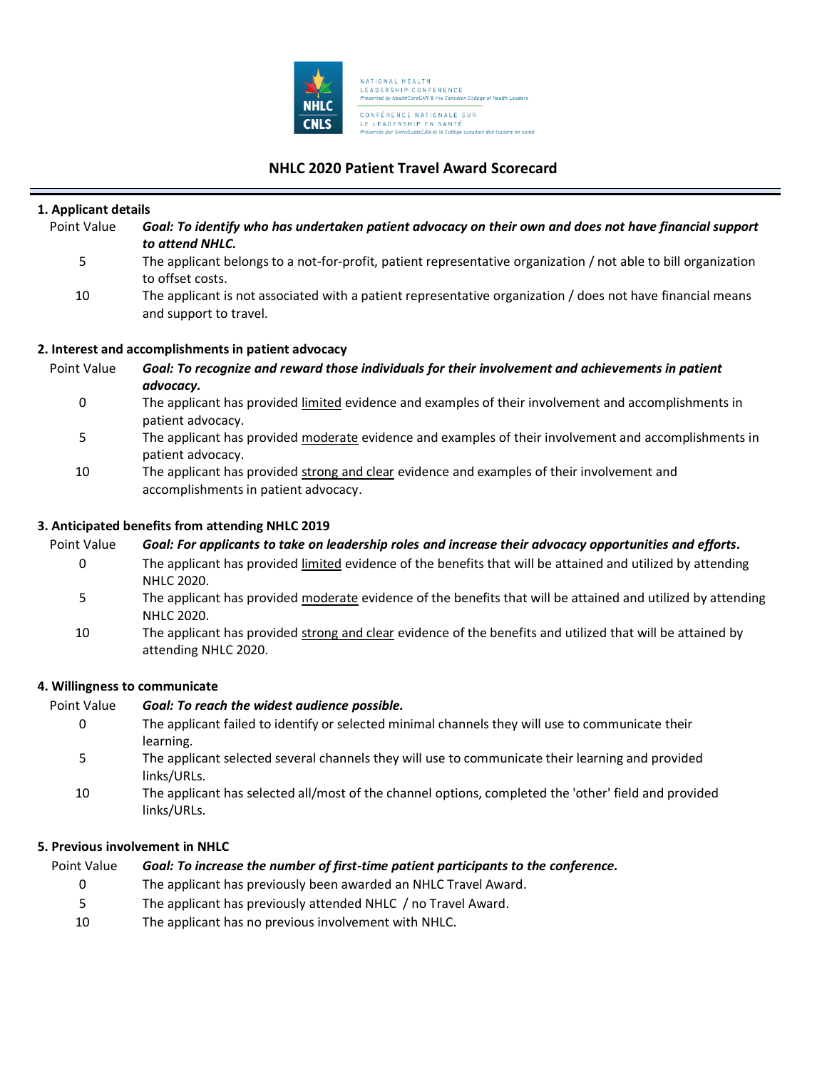

# **NHLC 2020 Patient Travel Award Scorecard**

| 1. Applicant details          |                                                                                                                                      |  |
|-------------------------------|--------------------------------------------------------------------------------------------------------------------------------------|--|
| Point Value                   | Goal: To identify who has undertaken patient advocacy on their own and does not have financial support<br>to attend NHLC.            |  |
| 5                             | The applicant belongs to a not-for-profit, patient representative organization / not able to bill organization<br>to offset costs.   |  |
| 10                            | The applicant is not associated with a patient representative organization / does not have financial means<br>and support to travel. |  |
|                               | 2. Interest and accomplishments in patient advocacy                                                                                  |  |
| Point Value                   | Goal: To recognize and reward those individuals for their involvement and achievements in patient<br>advocacy.                       |  |
| 0                             | The applicant has provided limited evidence and examples of their involvement and accomplishments in<br>patient advocacy.            |  |
| 5                             | The applicant has provided moderate evidence and examples of their involvement and accomplishments in<br>patient advocacy.           |  |
| 10                            | The applicant has provided strong and clear evidence and examples of their involvement and<br>accomplishments in patient advocacy.   |  |
|                               | 3. Anticipated benefits from attending NHLC 2019                                                                                     |  |
| Point Value                   | Goal: For applicants to take on leadership roles and increase their advocacy opportunities and efforts.                              |  |
| 0                             | The applicant has provided limited evidence of the benefits that will be attained and utilized by attending<br>NHLC 2020.            |  |
| 5                             | The applicant has provided moderate evidence of the benefits that will be attained and utilized by attending<br>NHLC 2020.           |  |
| 10                            | The applicant has provided strong and clear evidence of the benefits and utilized that will be attained by<br>attending NHLC 2020.   |  |
| 4. Willingness to communicate |                                                                                                                                      |  |
| Point Value                   | Goal: To reach the widest audience possible.                                                                                         |  |
| 0                             | The applicant failed to identify or selected minimal channels they will use to communicate their<br>learning.                        |  |
| 5                             | The applicant selected several channels they will use to communicate their learning and provided                                     |  |

- links/URLs.
- 10 The applicant has selected all/most of the channel options, completed the 'other' field and provided links/URLs.

## **5. Previous involvement in NHLC**

| Point Value | Goal: To increase the number of first-time patient participants to the conference. |
|-------------|------------------------------------------------------------------------------------|
|-------------|------------------------------------------------------------------------------------|

- 0 The applicant has previously been awarded an NHLC Travel Award.
- 5 The applicant has previously attended NHLC / no Travel Award.
- 10 The applicant has no previous involvement with NHLC.